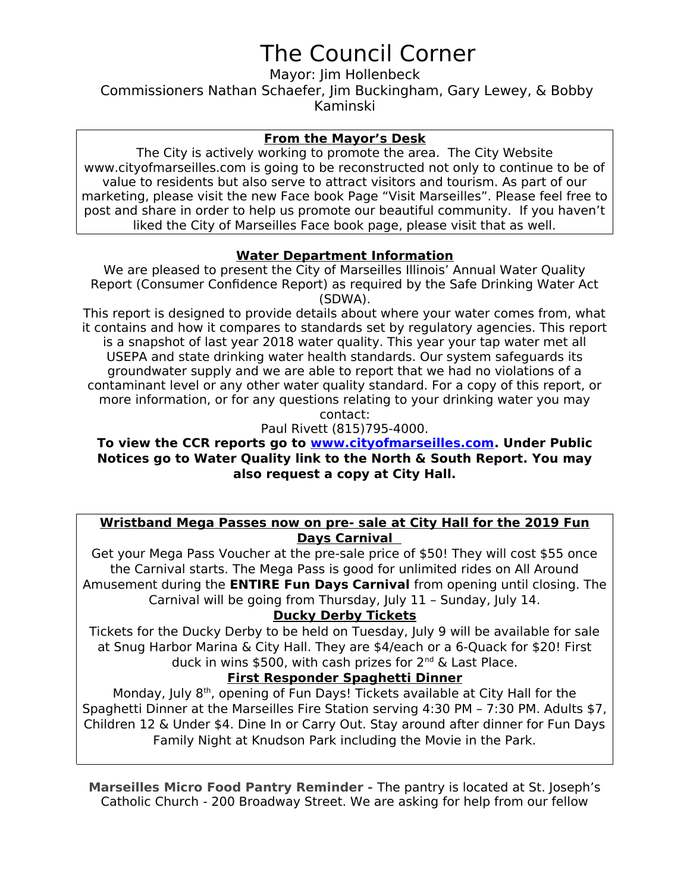# The Council Corner

Mayor: Jim Hollenbeck Commissioners Nathan Schaefer, Jim Buckingham, Gary Lewey, & Bobby Kaminski

#### **From the Mayor's Desk**

The City is actively working to promote the area. The City Website www.cityofmarseilles.com is going to be reconstructed not only to continue to be of value to residents but also serve to attract visitors and tourism. As part of our marketing, please visit the new Face book Page "Visit Marseilles". Please feel free to post and share in order to help us promote our beautiful community. If you haven't liked the City of Marseilles Face book page, please visit that as well.

#### **Water Department Information**

We are pleased to present the City of Marseilles Illinois' Annual Water Quality Report (Consumer Confidence Report) as required by the Safe Drinking Water Act (SDWA).

This report is designed to provide details about where your water comes from, what it contains and how it compares to standards set by regulatory agencies. This report is a snapshot of last year 2018 water quality. This year your tap water met all USEPA and state drinking water health standards. Our system safeguards its groundwater supply and we are able to report that we had no violations of a contaminant level or any other water quality standard. For a copy of this report, or more information, or for any questions relating to your drinking water you may contact:

Paul Rivett (815)795-4000.

#### **To view the CCR reports go to [www.cityofmarseilles.com.](http://www.cityofmarseilles.com/) Under Public Notices go to Water Quality link to the North & South Report. You may also request a copy at City Hall.**

#### **Wristband Mega Passes now on pre- sale at City Hall for the 2019 Fun Days Carnival**

Get your Mega Pass Voucher at the pre-sale price of \$50! They will cost \$55 once the Carnival starts. The Mega Pass is good for unlimited rides on All Around Amusement during the **ENTIRE Fun Days Carnival** from opening until closing. The Carnival will be going from Thursday, July 11 – Sunday, July 14.

### **Ducky Derby Tickets**

Tickets for the Ducky Derby to be held on Tuesday, July 9 will be available for sale at Snug Harbor Marina & City Hall. They are \$4/each or a 6-Quack for \$20! First duck in wins \$500, with cash prizes for  $2^{nd}$  & Last Place.

### **First Responder Spaghetti Dinner**

Monday, July 8<sup>th</sup>, opening of Fun Days! Tickets available at City Hall for the Spaghetti Dinner at the Marseilles Fire Station serving 4:30 PM – 7:30 PM. Adults \$7, Children 12 & Under \$4. Dine In or Carry Out. Stay around after dinner for Fun Days Family Night at Knudson Park including the Movie in the Park.

**Marseilles Micro Food Pantry Reminder -** The pantry is located at St. Joseph's Catholic Church - 200 Broadway Street. We are asking for help from our fellow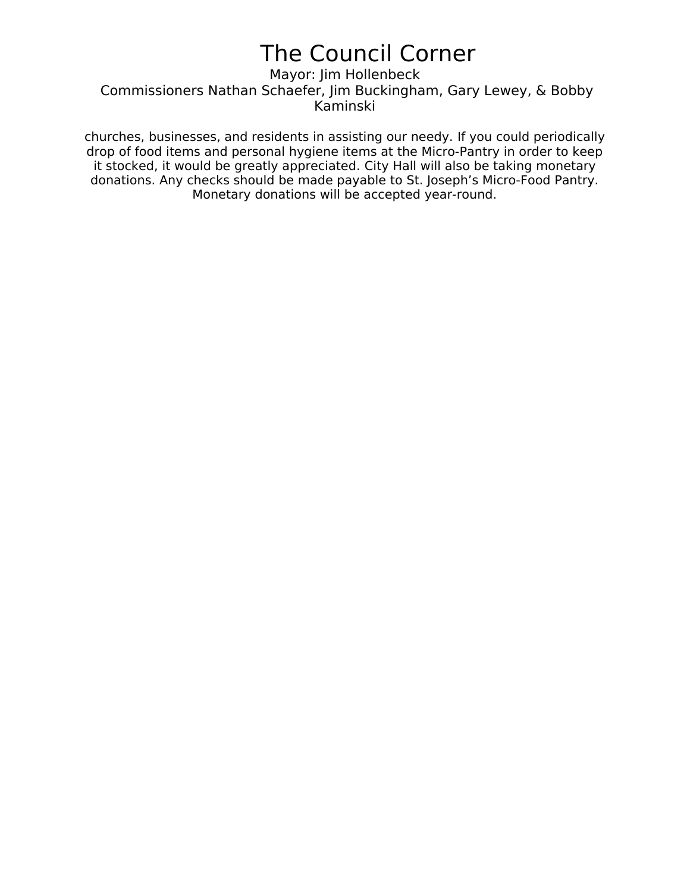## The Council Corner

Mayor: Jim Hollenbeck Commissioners Nathan Schaefer, Jim Buckingham, Gary Lewey, & Bobby Kaminski

churches, businesses, and residents in assisting our needy. If you could periodically drop of food items and personal hygiene items at the Micro-Pantry in order to keep it stocked, it would be greatly appreciated. City Hall will also be taking monetary donations. Any checks should be made payable to St. Joseph's Micro-Food Pantry. Monetary donations will be accepted year-round.